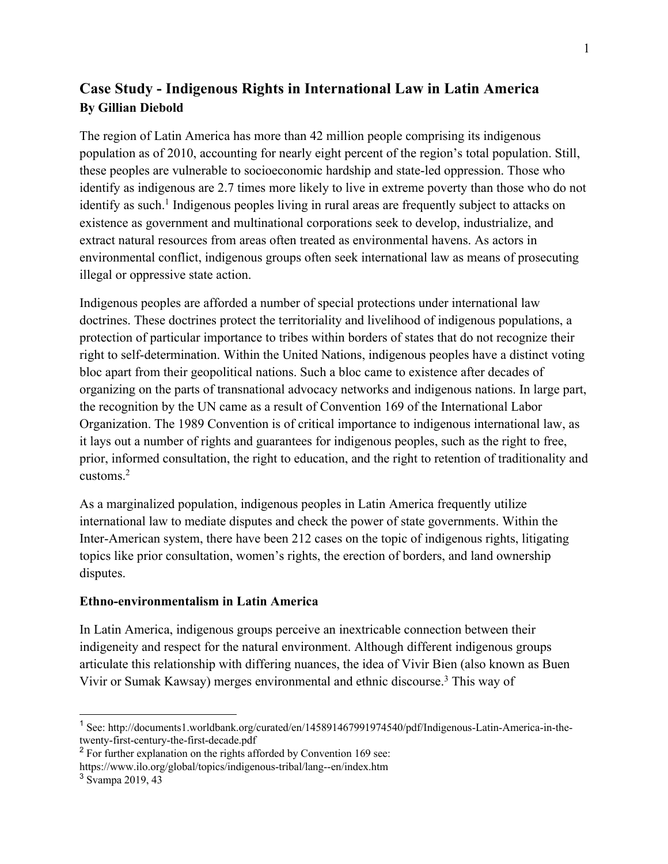# **Case Study - Indigenous Rights in International Law in Latin America By Gillian Diebold**

The region of Latin America has more than 42 million people comprising its indigenous population as of 2010, accounting for nearly eight percent of the region's total population. Still, these peoples are vulnerable to socioeconomic hardship and state-led oppression. Those who identify as indigenous are 2.7 times more likely to live in extreme poverty than those who do not identify as such.<sup>1</sup> Indigenous peoples living in rural areas are frequently subject to attacks on existence as government and multinational corporations seek to develop, industrialize, and extract natural resources from areas often treated as environmental havens. As actors in environmental conflict, indigenous groups often seek international law as means of prosecuting illegal or oppressive state action.

Indigenous peoples are afforded a number of special protections under international law doctrines. These doctrines protect the territoriality and livelihood of indigenous populations, a protection of particular importance to tribes within borders of states that do not recognize their right to self-determination. Within the United Nations, indigenous peoples have a distinct voting bloc apart from their geopolitical nations. Such a bloc came to existence after decades of organizing on the parts of transnational advocacy networks and indigenous nations. In large part, the recognition by the UN came as a result of Convention 169 of the International Labor Organization. The 1989 Convention is of critical importance to indigenous international law, as it lays out a number of rights and guarantees for indigenous peoples, such as the right to free, prior, informed consultation, the right to education, and the right to retention of traditionality and customs.2

As a marginalized population, indigenous peoples in Latin America frequently utilize international law to mediate disputes and check the power of state governments. Within the Inter-American system, there have been 212 cases on the topic of indigenous rights, litigating topics like prior consultation, women's rights, the erection of borders, and land ownership disputes.

#### **Ethno-environmentalism in Latin America**

In Latin America, indigenous groups perceive an inextricable connection between their indigeneity and respect for the natural environment. Although different indigenous groups articulate this relationship with differing nuances, the idea of Vivir Bien (also known as Buen Vivir or Sumak Kawsay) merges environmental and ethnic discourse.3 This way of

<sup>&</sup>lt;sup>1</sup> See: http://documents1.worldbank.org/curated/en/145891467991974540/pdf/Indigenous-Latin-America-in-thetwenty-first-century-the-first-decade.pdf

 $2$  For further explanation on the rights afforded by Convention 169 see: https://www.ilo.org/global/topics/indigenous-tribal/lang--en/index.htm

<sup>3</sup> Svampa 2019, 43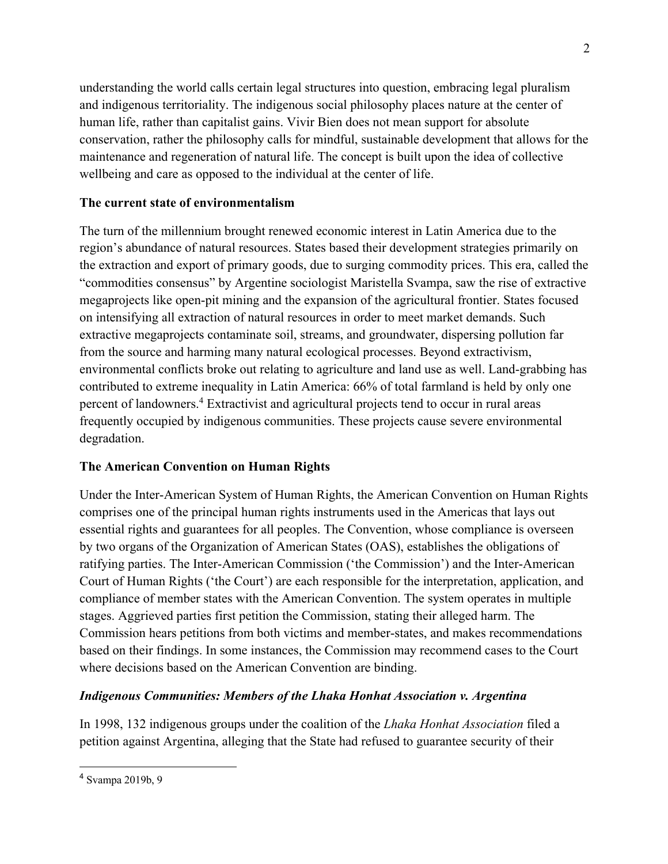understanding the world calls certain legal structures into question, embracing legal pluralism and indigenous territoriality. The indigenous social philosophy places nature at the center of human life, rather than capitalist gains. Vivir Bien does not mean support for absolute conservation, rather the philosophy calls for mindful, sustainable development that allows for the maintenance and regeneration of natural life. The concept is built upon the idea of collective wellbeing and care as opposed to the individual at the center of life.

## **The current state of environmentalism**

The turn of the millennium brought renewed economic interest in Latin America due to the region's abundance of natural resources. States based their development strategies primarily on the extraction and export of primary goods, due to surging commodity prices. This era, called the "commodities consensus" by Argentine sociologist Maristella Svampa, saw the rise of extractive megaprojects like open-pit mining and the expansion of the agricultural frontier. States focused on intensifying all extraction of natural resources in order to meet market demands. Such extractive megaprojects contaminate soil, streams, and groundwater, dispersing pollution far from the source and harming many natural ecological processes. Beyond extractivism, environmental conflicts broke out relating to agriculture and land use as well. Land-grabbing has contributed to extreme inequality in Latin America: 66% of total farmland is held by only one percent of landowners.4 Extractivist and agricultural projects tend to occur in rural areas frequently occupied by indigenous communities. These projects cause severe environmental degradation.

# **The American Convention on Human Rights**

Under the Inter-American System of Human Rights, the American Convention on Human Rights comprises one of the principal human rights instruments used in the Americas that lays out essential rights and guarantees for all peoples. The Convention, whose compliance is overseen by two organs of the Organization of American States (OAS), establishes the obligations of ratifying parties. The Inter-American Commission ('the Commission') and the Inter-American Court of Human Rights ('the Court') are each responsible for the interpretation, application, and compliance of member states with the American Convention. The system operates in multiple stages. Aggrieved parties first petition the Commission, stating their alleged harm. The Commission hears petitions from both victims and member-states, and makes recommendations based on their findings. In some instances, the Commission may recommend cases to the Court where decisions based on the American Convention are binding.

# *Indigenous Communities: Members of the Lhaka Honhat Association v. Argentina*

In 1998, 132 indigenous groups under the coalition of the *Lhaka Honhat Association* filed a petition against Argentina, alleging that the State had refused to guarantee security of their

<sup>4</sup> Svampa 2019b, 9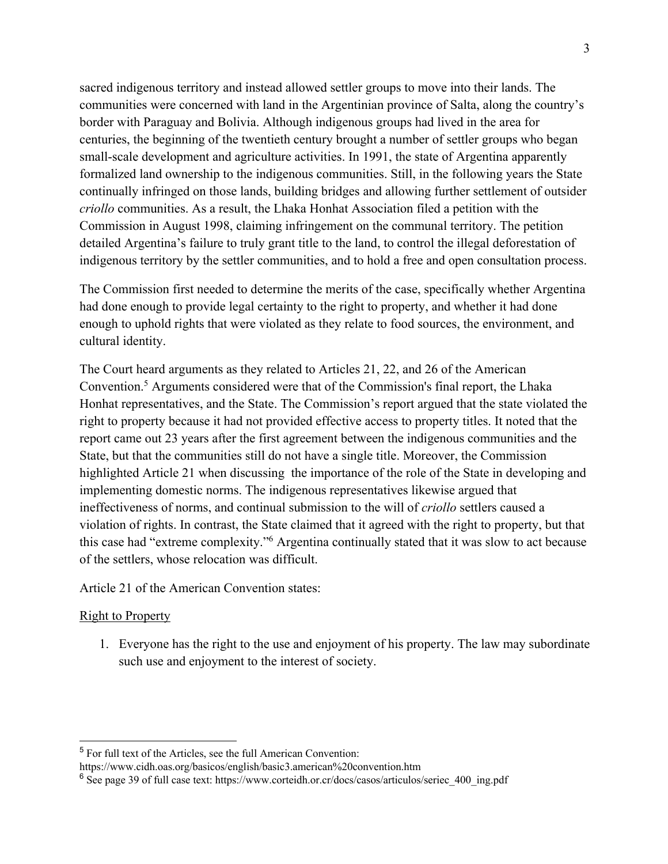sacred indigenous territory and instead allowed settler groups to move into their lands. The communities were concerned with land in the Argentinian province of Salta, along the country's border with Paraguay and Bolivia. Although indigenous groups had lived in the area for centuries, the beginning of the twentieth century brought a number of settler groups who began small-scale development and agriculture activities. In 1991, the state of Argentina apparently formalized land ownership to the indigenous communities. Still, in the following years the State continually infringed on those lands, building bridges and allowing further settlement of outsider *criollo* communities. As a result, the Lhaka Honhat Association filed a petition with the Commission in August 1998, claiming infringement on the communal territory. The petition detailed Argentina's failure to truly grant title to the land, to control the illegal deforestation of indigenous territory by the settler communities, and to hold a free and open consultation process.

The Commission first needed to determine the merits of the case, specifically whether Argentina had done enough to provide legal certainty to the right to property, and whether it had done enough to uphold rights that were violated as they relate to food sources, the environment, and cultural identity.

The Court heard arguments as they related to Articles 21, 22, and 26 of the American Convention.5 Arguments considered were that of the Commission's final report, the Lhaka Honhat representatives, and the State. The Commission's report argued that the state violated the right to property because it had not provided effective access to property titles. It noted that the report came out 23 years after the first agreement between the indigenous communities and the State, but that the communities still do not have a single title. Moreover, the Commission highlighted Article 21 when discussing the importance of the role of the State in developing and implementing domestic norms. The indigenous representatives likewise argued that ineffectiveness of norms, and continual submission to the will of *criollo* settlers caused a violation of rights. In contrast, the State claimed that it agreed with the right to property, but that this case had "extreme complexity."6 Argentina continually stated that it was slow to act because of the settlers, whose relocation was difficult.

Article 21 of the American Convention states:

#### Right to Property

1. Everyone has the right to the use and enjoyment of his property. The law may subordinate such use and enjoyment to the interest of society.

<sup>5</sup> For full text of the Articles, see the full American Convention:

https://www.cidh.oas.org/basicos/english/basic3.american%20convention.htm

 $6$  See page 39 of full case text: https://www.corteidh.or.cr/docs/casos/articulos/seriec 400 ing.pdf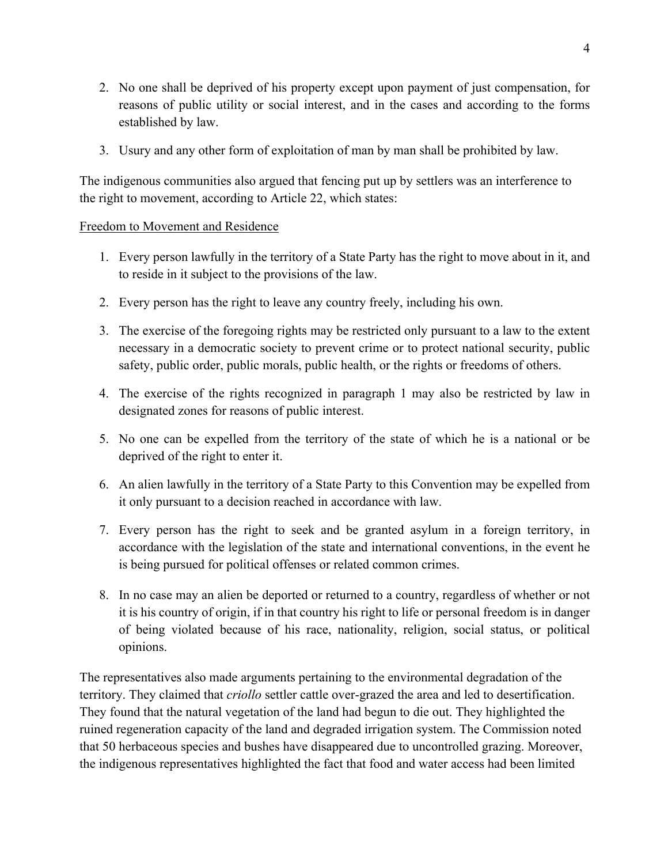- 2. No one shall be deprived of his property except upon payment of just compensation, for reasons of public utility or social interest, and in the cases and according to the forms established by law.
- 3. Usury and any other form of exploitation of man by man shall be prohibited by law.

The indigenous communities also argued that fencing put up by settlers was an interference to the right to movement, according to Article 22, which states:

### Freedom to Movement and Residence

- 1. Every person lawfully in the territory of a State Party has the right to move about in it, and to reside in it subject to the provisions of the law.
- 2. Every person has the right to leave any country freely, including his own.
- 3. The exercise of the foregoing rights may be restricted only pursuant to a law to the extent necessary in a democratic society to prevent crime or to protect national security, public safety, public order, public morals, public health, or the rights or freedoms of others.
- 4. The exercise of the rights recognized in paragraph 1 may also be restricted by law in designated zones for reasons of public interest.
- 5. No one can be expelled from the territory of the state of which he is a national or be deprived of the right to enter it.
- 6. An alien lawfully in the territory of a State Party to this Convention may be expelled from it only pursuant to a decision reached in accordance with law.
- 7. Every person has the right to seek and be granted asylum in a foreign territory, in accordance with the legislation of the state and international conventions, in the event he is being pursued for political offenses or related common crimes.
- 8. In no case may an alien be deported or returned to a country, regardless of whether or not it is his country of origin, if in that country his right to life or personal freedom is in danger of being violated because of his race, nationality, religion, social status, or political opinions.

The representatives also made arguments pertaining to the environmental degradation of the territory. They claimed that *criollo* settler cattle over-grazed the area and led to desertification. They found that the natural vegetation of the land had begun to die out. They highlighted the ruined regeneration capacity of the land and degraded irrigation system. The Commission noted that 50 herbaceous species and bushes have disappeared due to uncontrolled grazing. Moreover, the indigenous representatives highlighted the fact that food and water access had been limited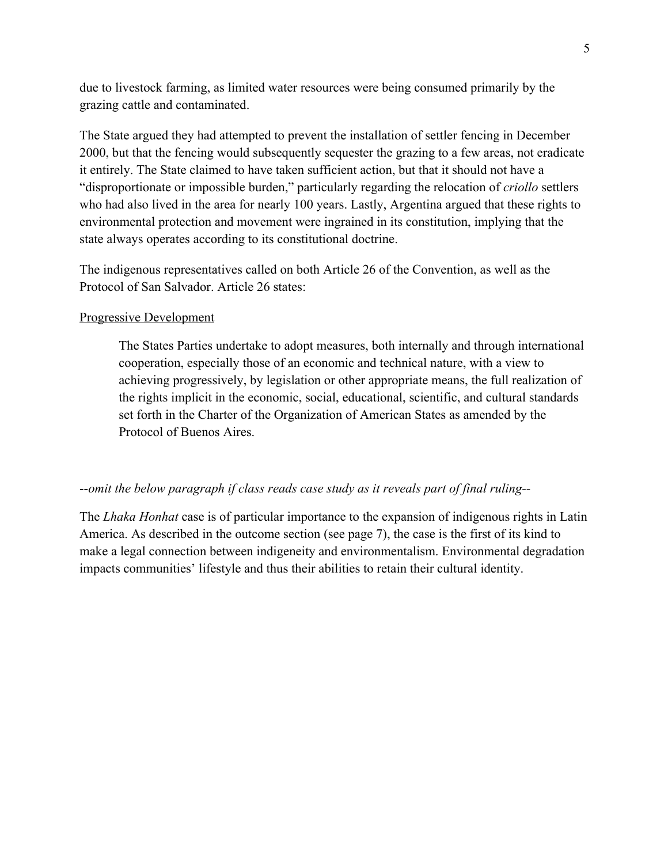due to livestock farming, as limited water resources were being consumed primarily by the grazing cattle and contaminated.

The State argued they had attempted to prevent the installation of settler fencing in December 2000, but that the fencing would subsequently sequester the grazing to a few areas, not eradicate it entirely. The State claimed to have taken sufficient action, but that it should not have a "disproportionate or impossible burden," particularly regarding the relocation of *criollo* settlers who had also lived in the area for nearly 100 years. Lastly, Argentina argued that these rights to environmental protection and movement were ingrained in its constitution, implying that the state always operates according to its constitutional doctrine.

The indigenous representatives called on both Article 26 of the Convention, as well as the Protocol of San Salvador. Article 26 states:

#### Progressive Development

The States Parties undertake to adopt measures, both internally and through international cooperation, especially those of an economic and technical nature, with a view to achieving progressively, by legislation or other appropriate means, the full realization of the rights implicit in the economic, social, educational, scientific, and cultural standards set forth in the Charter of the Organization of American States as amended by the Protocol of Buenos Aires.

#### --*omit the below paragraph if class reads case study as it reveals part of final ruling--*

The *Lhaka Honhat* case is of particular importance to the expansion of indigenous rights in Latin America. As described in the outcome section (see page 7), the case is the first of its kind to make a legal connection between indigeneity and environmentalism. Environmental degradation impacts communities' lifestyle and thus their abilities to retain their cultural identity.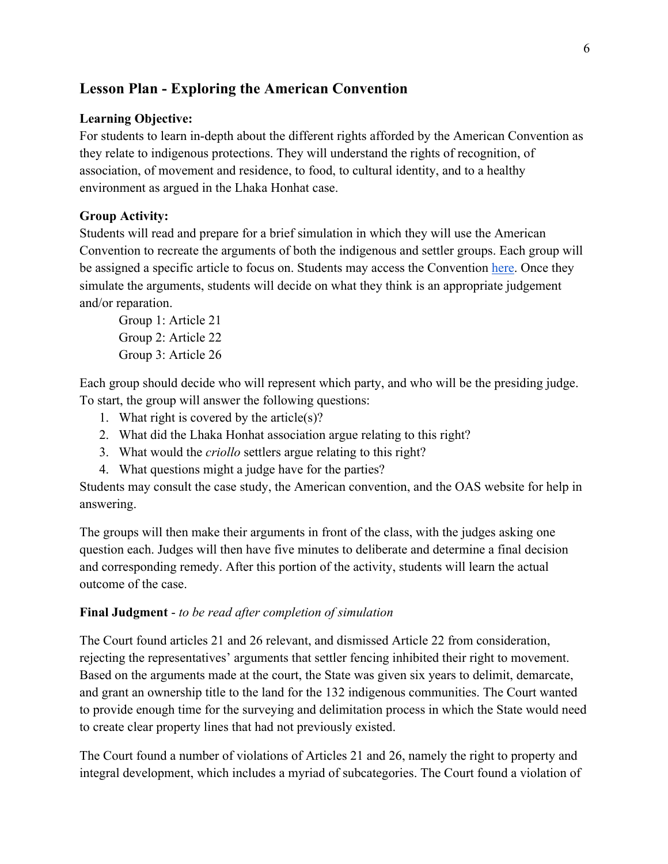# **Lesson Plan - Exploring the American Convention**

### **Learning Objective:**

For students to learn in-depth about the different rights afforded by the American Convention as they relate to indigenous protections. They will understand the rights of recognition, of association, of movement and residence, to food, to cultural identity, and to a healthy environment as argued in the Lhaka Honhat case.

### **Group Activity:**

Students will read and prepare for a brief simulation in which they will use the American Convention to recreate the arguments of both the indigenous and settler groups. Each group will be assigned a specific article to focus on. Students may access the Convention here. Once they simulate the arguments, students will decide on what they think is an appropriate judgement and/or reparation.

Group 1: Article 21 Group 2: Article 22 Group 3: Article 26

Each group should decide who will represent which party, and who will be the presiding judge. To start, the group will answer the following questions:

- 1. What right is covered by the article(s)?
- 2. What did the Lhaka Honhat association argue relating to this right?
- 3. What would the *criollo* settlers argue relating to this right?
- 4. What questions might a judge have for the parties?

Students may consult the case study, the American convention, and the OAS website for help in answering.

The groups will then make their arguments in front of the class, with the judges asking one question each. Judges will then have five minutes to deliberate and determine a final decision and corresponding remedy. After this portion of the activity, students will learn the actual outcome of the case.

#### **Final Judgment** - *to be read after completion of simulation*

The Court found articles 21 and 26 relevant, and dismissed Article 22 from consideration, rejecting the representatives' arguments that settler fencing inhibited their right to movement. Based on the arguments made at the court, the State was given six years to delimit, demarcate, and grant an ownership title to the land for the 132 indigenous communities. The Court wanted to provide enough time for the surveying and delimitation process in which the State would need to create clear property lines that had not previously existed.

The Court found a number of violations of Articles 21 and 26, namely the right to property and integral development, which includes a myriad of subcategories. The Court found a violation of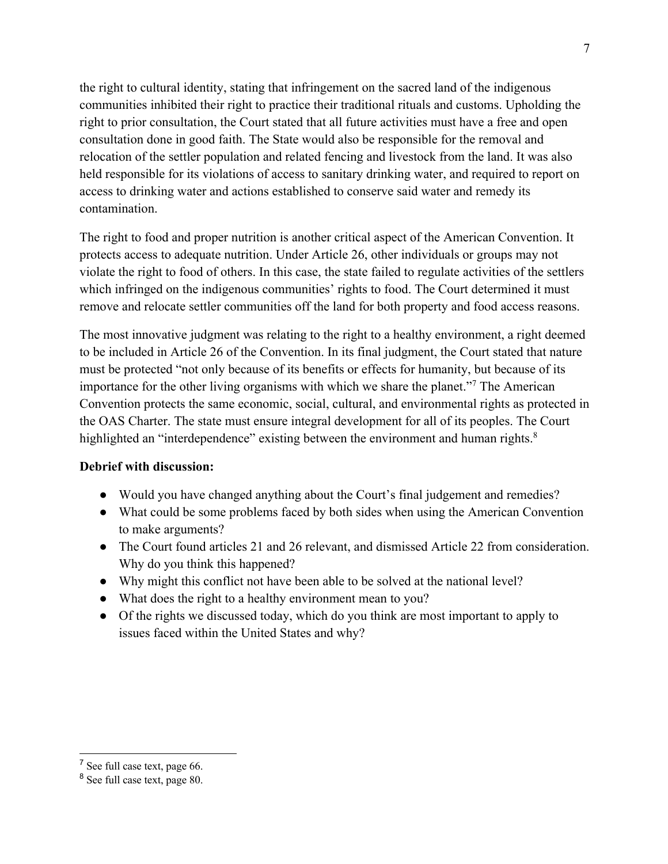the right to cultural identity, stating that infringement on the sacred land of the indigenous communities inhibited their right to practice their traditional rituals and customs. Upholding the right to prior consultation, the Court stated that all future activities must have a free and open consultation done in good faith. The State would also be responsible for the removal and relocation of the settler population and related fencing and livestock from the land. It was also held responsible for its violations of access to sanitary drinking water, and required to report on access to drinking water and actions established to conserve said water and remedy its contamination.

The right to food and proper nutrition is another critical aspect of the American Convention. It protects access to adequate nutrition. Under Article 26, other individuals or groups may not violate the right to food of others. In this case, the state failed to regulate activities of the settlers which infringed on the indigenous communities' rights to food. The Court determined it must remove and relocate settler communities off the land for both property and food access reasons.

The most innovative judgment was relating to the right to a healthy environment, a right deemed to be included in Article 26 of the Convention. In its final judgment, the Court stated that nature must be protected "not only because of its benefits or effects for humanity, but because of its importance for the other living organisms with which we share the planet."7 The American Convention protects the same economic, social, cultural, and environmental rights as protected in the OAS Charter. The state must ensure integral development for all of its peoples. The Court highlighted an "interdependence" existing between the environment and human rights.<sup>8</sup>

#### **Debrief with discussion:**

- Would you have changed anything about the Court's final judgement and remedies?
- What could be some problems faced by both sides when using the American Convention to make arguments?
- The Court found articles 21 and 26 relevant, and dismissed Article 22 from consideration. Why do you think this happened?
- Why might this conflict not have been able to be solved at the national level?
- What does the right to a healthy environment mean to you?
- Of the rights we discussed today, which do you think are most important to apply to issues faced within the United States and why?

<sup>7</sup> See full case text, page 66.

<sup>8</sup> See full case text, page 80.